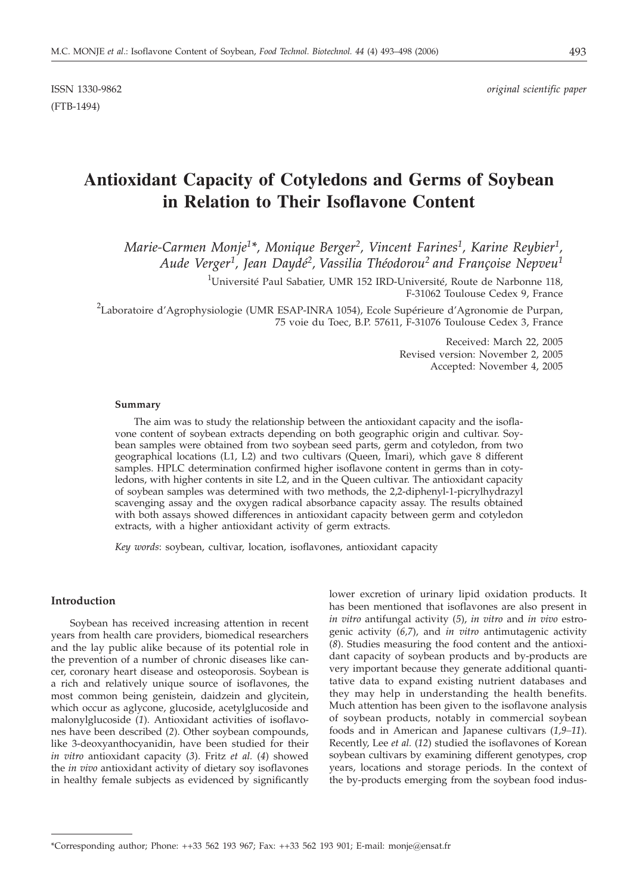(FTB-1494)

ISSN 1330-9862 *original scientific paper*

# **Antioxidant Capacity of Cotyledons and Germs of Soybean in Relation to Their Isoflavone Content**

*Marie-Carmen Monje1\*, Monique Berger2, Vincent Farines1, Karine Reybier1, Aude Verger1, Jean Daydé2, Vassilia Théodorou2 and Françoise Nepveu1*

> $^{1}$ Université Paul Sabatier, UMR 152 IRD-Université, Route de Narbonne 118, F-31062 Toulouse Cedex 9, France

<sup>2</sup>Laboratoire d'Agrophysiologie (UMR ESAP-INRA 1054), Ecole Supérieure d'Agronomie de Purpan, 75 voie du Toec, B.P. 57611, F-31076 Toulouse Cedex 3, France

> Received: March 22, 2005 Revised version: November 2, 2005 Accepted: November 4, 2005

#### **Summary**

The aim was to study the relationship between the antioxidant capacity and the isoflavone content of soybean extracts depending on both geographic origin and cultivar. Soybean samples were obtained from two soybean seed parts, germ and cotyledon, from two geographical locations (L1, L2) and two cultivars (Queen, Imari), which gave 8 different samples. HPLC determination confirmed higher isoflavone content in germs than in cotyledons, with higher contents in site L2, and in the Queen cultivar. The antioxidant capacity of soybean samples was determined with two methods, the 2,2-diphenyl-1-picrylhydrazyl scavenging assay and the oxygen radical absorbance capacity assay. The results obtained with both assays showed differences in antioxidant capacity between germ and cotyledon extracts, with a higher antioxidant activity of germ extracts.

*Key words*: soybean, cultivar, location, isoflavones, antioxidant capacity

## **Introduction**

Soybean has received increasing attention in recent years from health care providers, biomedical researchers and the lay public alike because of its potential role in the prevention of a number of chronic diseases like cancer, coronary heart disease and osteoporosis. Soybean is a rich and relatively unique source of isoflavones, the most common being genistein, daidzein and glycitein, which occur as aglycone, glucoside, acetylglucoside and malonylglucoside (*1*). Antioxidant activities of isoflavones have been described (*2*). Other soybean compounds, like 3-deoxyanthocyanidin, have been studied for their *in vitro* antioxidant capacity (*3*). Fritz *et al.* (*4*) showed the *in vivo* antioxidant activity of dietary soy isoflavones in healthy female subjects as evidenced by significantly lower excretion of urinary lipid oxidation products. It has been mentioned that isoflavones are also present in *in vitro* antifungal activity (*5*), *in vitro* and *in vivo* estrogenic activity (*6,7*), and *in vitro* antimutagenic activity (*8*). Studies measuring the food content and the antioxidant capacity of soybean products and by-products are very important because they generate additional quantitative data to expand existing nutrient databases and they may help in understanding the health benefits. Much attention has been given to the isoflavone analysis of soybean products, notably in commercial soybean foods and in American and Japanese cultivars (*1,9–11*). Recently, Lee *et al.* (*12*) studied the isoflavones of Korean soybean cultivars by examining different genotypes, crop years, locations and storage periods. In the context of the by-products emerging from the soybean food indus-

<sup>\*</sup>Corresponding author; Phone: ++33 562 193 967; Fax: ++33 562 193 901; E-mail: monje*@*ensat.fr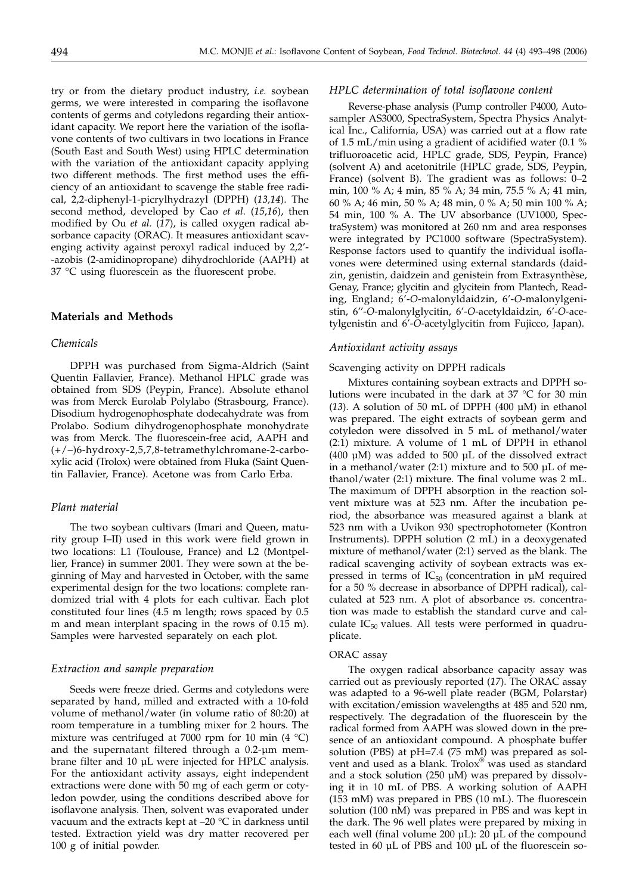try or from the dietary product industry, *i.e.* soybean germs, we were interested in comparing the isoflavone contents of germs and cotyledons regarding their antioxidant capacity. We report here the variation of the isoflavone contents of two cultivars in two locations in France (South East and South West) using HPLC determination with the variation of the antioxidant capacity applying two different methods. The first method uses the efficiency of an antioxidant to scavenge the stable free radical, 2,2-diphenyl-1-picrylhydrazyl (DPPH) (*13,14*). The second method, developed by Cao *et al.* (*15*,*16*), then modified by Ou *et al.* (*17*), is called oxygen radical absorbance capacity (ORAC). It measures antioxidant scavenging activity against peroxyl radical induced by 2,2'- -azobis (2-amidinopropane) dihydrochloride (AAPH) at 37 °C using fluorescein as the fluorescent probe.

# **Materials and Methods**

## *Chemicals*

DPPH was purchased from Sigma-Aldrich (Saint Quentin Fallavier, France). Methanol HPLC grade was obtained from SDS (Peypin, France). Absolute ethanol was from Merck Eurolab Polylabo (Strasbourg, France). Disodium hydrogenophosphate dodecahydrate was from Prolabo. Sodium dihydrogenophosphate monohydrate was from Merck. The fluorescein-free acid, AAPH and (+/–)6-hydroxy-2,5,7,8-tetramethylchromane-2-carboxylic acid (Trolox) were obtained from Fluka (Saint Quentin Fallavier, France). Acetone was from Carlo Erba.

## *Plant material*

The two soybean cultivars (Imari and Queen, maturity group I–II) used in this work were field grown in two locations: L1 (Toulouse, France) and L2 (Montpellier, France) in summer 2001. They were sown at the beginning of May and harvested in October, with the same experimental design for the two locations: complete randomized trial with 4 plots for each cultivar. Each plot constituted four lines (4.5 m length; rows spaced by 0.5 m and mean interplant spacing in the rows of 0.15 m). Samples were harvested separately on each plot.

#### *Extraction and sample preparation*

Seeds were freeze dried. Germs and cotyledons were separated by hand, milled and extracted with a 10-fold volume of methanol/water (in volume ratio of 80:20) at room temperature in a tumbling mixer for 2 hours. The mixture was centrifuged at 7000 rpm for 10 min  $(4 \degree C)$ and the supernatant filtered through a 0.2-µm membrane filter and 10 µL were injected for HPLC analysis. For the antioxidant activity assays, eight independent extractions were done with 50 mg of each germ or cotyledon powder, using the conditions described above for isoflavone analysis. Then, solvent was evaporated under vacuum and the extracts kept at –20 °C in darkness until tested. Extraction yield was dry matter recovered per 100 g of initial powder.

## *HPLC determination of total isoflavone content*

Reverse-phase analysis (Pump controller P4000, Autosampler AS3000, SpectraSystem, Spectra Physics Analytical Inc., California, USA) was carried out at a flow rate of 1.5 mL/min using a gradient of acidified water (0.1 % trifluoroacetic acid, HPLC grade, SDS, Peypin, France) (solvent A) and acetonitrile (HPLC grade, SDS, Peypin, France) (solvent B). The gradient was as follows: 0–2 min, 100 % A; 4 min, 85 % A; 34 min, 75.5 % A; 41 min, 60 % A; 46 min, 50 % A; 48 min, 0 % A; 50 min 100 % A; 54 min, 100 % A. The UV absorbance (UV1000, SpectraSystem) was monitored at 260 nm and area responses were integrated by PC1000 software (SpectraSystem). Response factors used to quantify the individual isoflavones were determined using external standards (daidzin, genistin, daidzein and genistein from Extrasynthèse, Genay, France; glycitin and glycitein from Plantech, Reading, England; 6'-*O*-malonyldaidzin, 6'-*O*-malonylgenistin, 6''-*O*-malonylglycitin, 6'-*O*-acetyldaidzin, 6'-*O*-acetylgenistin and 6'-*O*-acetylglycitin from Fujicco, Japan).

### *Antioxidant activity assays*

# Scavenging activity on DPPH radicals

Mixtures containing soybean extracts and DPPH solutions were incubated in the dark at 37 °C for 30 min (*13*). A solution of 50 mL of DPPH (400 µM) in ethanol was prepared. The eight extracts of soybean germ and cotyledon were dissolved in 5 mL of methanol/water (2:1) mixture. A volume of 1 mL of DPPH in ethanol (400 µM) was added to 500 µL of the dissolved extract in a methanol/water (2:1) mixture and to 500 µL of methanol/water (2:1) mixture. The final volume was 2 mL. The maximum of DPPH absorption in the reaction solvent mixture was at 523 nm. After the incubation period, the absorbance was measured against a blank at 523 nm with a Uvikon 930 spectrophotometer (Kontron Instruments). DPPH solution (2 mL) in a deoxygenated mixture of methanol/water (2:1) served as the blank. The radical scavenging activity of soybean extracts was expressed in terms of  $IC_{50}$  (concentration in  $µM$  required for a 50 % decrease in absorbance of DPPH radical), calculated at 523 nm. A plot of absorbance *vs.* concentration was made to establish the standard curve and calculate  $IC_{50}$  values. All tests were performed in quadruplicate.

## ORAC assay

The oxygen radical absorbance capacity assay was carried out as previously reported (*17*). The ORAC assay was adapted to a 96-well plate reader (BGM, Polarstar) with excitation/emission wavelengths at 485 and 520 nm, respectively. The degradation of the fluorescein by the radical formed from AAPH was slowed down in the presence of an antioxidant compound. A phosphate buffer solution (PBS) at pH=7.4 (75 mM) was prepared as solvent and used as a blank. Trolox® was used as standard and a stock solution (250 µM) was prepared by dissolving it in 10 mL of PBS. A working solution of AAPH (153 mM) was prepared in PBS (10 mL). The fluorescein solution (100 nM) was prepared in PBS and was kept in the dark. The 96 well plates were prepared by mixing in each well (final volume 200 µL): 20 µL of the compound tested in 60 µL of PBS and 100 µL of the fluorescein so-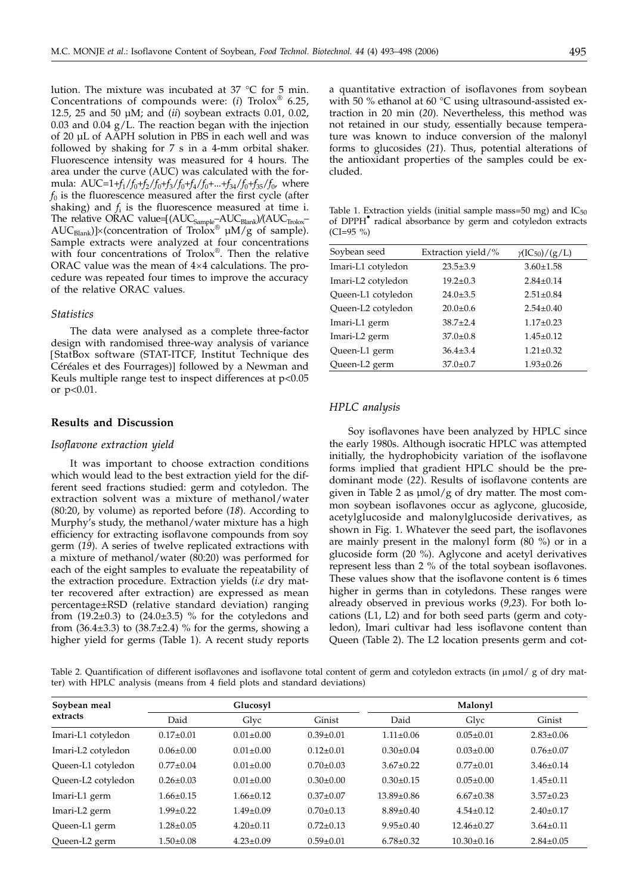lution. The mixture was incubated at 37 °C for 5 min. Concentrations of compounds were: (*i*) Trolox® 6.25, 12.5, 25 and 50 µM; and (*ii*) soybean extracts 0.01, 0.02, 0.03 and 0.04  $g/L$ . The reaction began with the injection of 20 µL of AAPH solution in PBS in each well and was followed by shaking for 7 s in a 4-mm orbital shaker. Fluorescence intensity was measured for 4 hours. The area under the curve (AUC) was calculated with the formula: AUC=1+ $f_1/f_0 + f_2/f_0 + f_3/f_0 + f_4/f_0 + ... + f_{34}/f_0 + f_{35}/f_0$ , where  $f<sub>0</sub>$  is the fluorescence measured after the first cycle (after shaking) and  $f_i$  is the fluorescence measured at time i. The relative ORAC value=[(AUC<sub>Sample</sub>=AUC<sub>Blank</sub>)/(AUC<sub>Trolox</sub>–  $AUC_{\text{Blank}}$ ] $\times$ (concentration of Trolox<sup>®</sup> µM/g of sample). Sample extracts were analyzed at four concentrations with four concentrations of Trolox®. Then the relative ORAC value was the mean of  $4\times4$  calculations. The procedure was repeated four times to improve the accuracy of the relative ORAC values.

#### *Statistics*

The data were analysed as a complete three-factor design with randomised three-way analysis of variance [StatBox software (STAT-ITCF, Institut Technique des Céréales et des Fourrages)] followed by a Newman and Keuls multiple range test to inspect differences at p<0.05 or p<0.01.

## **Results and Discussion**

#### *Isoflavone extraction yield*

It was important to choose extraction conditions which would lead to the best extraction yield for the different seed fractions studied: germ and cotyledon. The extraction solvent was a mixture of methanol/water (80:20, by volume) as reported before (*18*). According to Murphy's study, the methanol/water mixture has a high efficiency for extracting isoflavone compounds from soy germ (*19*). A series of twelve replicated extractions with a mixture of methanol/water (80:20) was performed for each of the eight samples to evaluate the repeatability of the extraction procedure. Extraction yields (*i.e* dry matter recovered after extraction) are expressed as mean percentage±RSD (relative standard deviation) ranging from  $(19.2\pm0.3)$  to  $(24.0\pm3.5)$  % for the cotyledons and from  $(36.4\pm3.3)$  to  $(38.7\pm2.4)$  % for the germs, showing a higher yield for germs (Table 1). A recent study reports a quantitative extraction of isoflavones from soybean with 50 % ethanol at 60  $^{\circ}$ C using ultrasound-assisted extraction in 20 min (*20*). Nevertheless, this method was not retained in our study, essentially because temperature was known to induce conversion of the malonyl forms to glucosides (*21*). Thus, potential alterations of the antioxidant properties of the samples could be excluded.

Table 1. Extraction yields (initial sample mass=50 mg) and  $IC_{50}$ of DPPH<sup>•</sup> radical absorbance by germ and cotyledon extracts (CI=95 %)

| Soybean seed       | Extraction yield/% | $\gamma$ (IC <sub>50</sub> )/(g/L) |
|--------------------|--------------------|------------------------------------|
| Imari-L1 cotyledon | $23.5 \pm 3.9$     | $3.60 \pm 1.58$                    |
| Imari-L2 cotyledon | $19.2 \pm 0.3$     | $2.84 \pm 0.14$                    |
| Queen-L1 cotyledon | $24.0 \pm 3.5$     | $2.51 \pm 0.84$                    |
| Queen-L2 cotyledon | $20.0 \pm 0.6$     | $2.54 \pm 0.40$                    |
| Imari-L1 germ      | $38.7 \pm 2.4$     | $1.17 + 0.23$                      |
| Imari-L2 germ      | $37.0 \pm 0.8$     | $1.45 \pm 0.12$                    |
| Queen-L1 germ      | $36.4 \pm 3.4$     | $1.21 \pm 0.32$                    |
| Queen-L2 germ      | $37.0 \pm 0.7$     | $1.93 \pm 0.26$                    |

### *HPLC analysis*

Soy isoflavones have been analyzed by HPLC since the early 1980s. Although isocratic HPLC was attempted initially, the hydrophobicity variation of the isoflavone forms implied that gradient HPLC should be the predominant mode (*22*). Results of isoflavone contents are given in Table 2 as µmol/g of dry matter. The most common soybean isoflavones occur as aglycone, glucoside, acetylglucoside and malonylglucoside derivatives, as shown in Fig. 1. Whatever the seed part, the isoflavones are mainly present in the malonyl form (80 %) or in a glucoside form (20 %). Aglycone and acetyl derivatives represent less than 2 % of the total soybean isoflavones. These values show that the isoflavone content is 6 times higher in germs than in cotyledons. These ranges were already observed in previous works (*9,23*). For both locations (L1, L2) and for both seed parts (germ and cotyledon), Imari cultivar had less isoflavone content than Queen (Table 2). The L2 location presents germ and cot-

Table 2. Quantification of different isoflavones and isoflavone total content of germ and cotyledon extracts (in µmol/ g of dry matter) with HPLC analysis (means from 4 field plots and standard deviations)

| Soybean meal<br>extracts | Glucosyl        |                 |                 | Malonyl          |                  |                 |  |
|--------------------------|-----------------|-----------------|-----------------|------------------|------------------|-----------------|--|
|                          | Daid            | Glyc            | Ginist          | Daid             | Glyc             | Ginist          |  |
| Imari-L1 cotyledon       | $0.17 \pm 0.01$ | $0.01 \pm 0.00$ | $0.39 + 0.01$   | $1.11 \pm 0.06$  | $0.05 \pm 0.01$  | $2.83 \pm 0.06$ |  |
| Imari-L2 cotyledon       | $0.06 \pm 0.00$ | $0.01 \pm 0.00$ | $0.12 \pm 0.01$ | $0.30 \pm 0.04$  | $0.03 \pm 0.00$  | $0.76 \pm 0.07$ |  |
| Oueen-L1 cotyledon       | $0.77 + 0.04$   | $0.01 \pm 0.00$ | $0.70 \pm 0.03$ | $3.67 \pm 0.22$  | $0.77+0.01$      | $3.46 \pm 0.14$ |  |
| Queen-L2 cotyledon       | $0.26 \pm 0.03$ | $0.01 \pm 0.00$ | $0.30 \pm 0.00$ | $0.30+0.15$      | $0.05 \pm 0.00$  | $1.45 \pm 0.11$ |  |
| Imari-L1 germ            | $1.66 \pm 0.15$ | $1.66 \pm 0.12$ | $0.37 + 0.07$   | $13.89 \pm 0.86$ | $6.67 \pm 0.38$  | $3.57 \pm 0.23$ |  |
| Imari-L2 germ            | $1.99 \pm 0.22$ | $1.49 \pm 0.09$ | $0.70 \pm 0.13$ | $8.89 \pm 0.40$  | $4.54 \pm 0.12$  | $2.40 \pm 0.17$ |  |
| Queen-L1 germ            | $1.28 \pm 0.05$ | $4.20 \pm 0.11$ | $0.72 \pm 0.13$ | $9.95 \pm 0.40$  | $12.46 \pm 0.27$ | $3.64 \pm 0.11$ |  |
| Oueen-L2 germ            | $1.50 \pm 0.08$ | $4.23 \pm 0.09$ | $0.59 \pm 0.01$ | $6.78 \pm 0.32$  | $10.30 \pm 0.16$ | $2.84 \pm 0.05$ |  |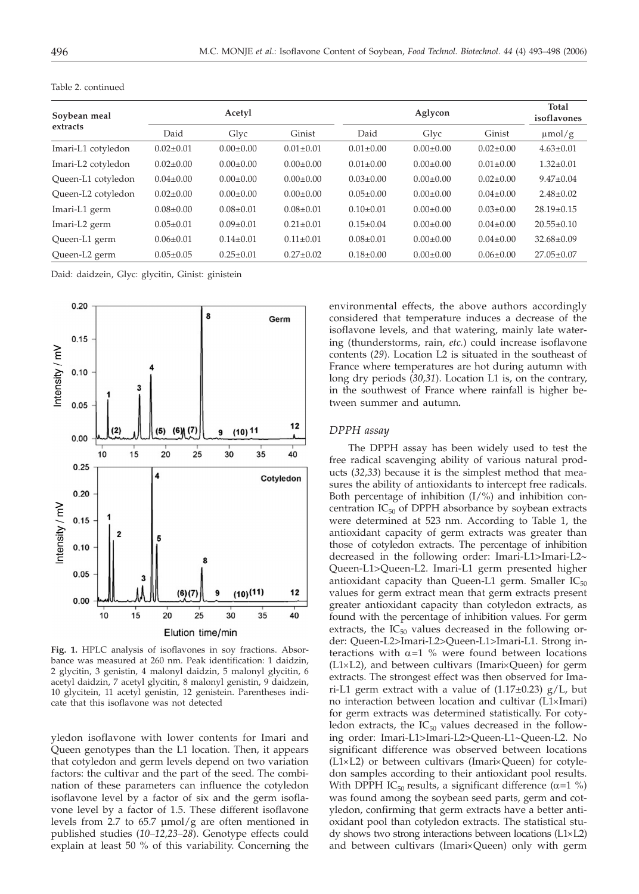| Soybean meal<br>extracts | Acetyl          |                 |                 | Aglycon         |                 |                 |                  |
|--------------------------|-----------------|-----------------|-----------------|-----------------|-----------------|-----------------|------------------|
|                          | Daid            | Glyc            | Ginist          | Daid            | Glyc            | Ginist          | $\mu$ mol/g      |
| Imari-L1 cotyledon       | $0.02 \pm 0.01$ | $0.00 \pm 0.00$ | $0.01 \pm 0.01$ | $0.01 \pm 0.00$ | $0.00 \pm 0.00$ | $0.02 \pm 0.00$ | $4.63 \pm 0.01$  |
| Imari-L2 cotyledon       | $0.02 \pm 0.00$ | $0.00 \pm 0.00$ | $0.00 \pm 0.00$ | $0.01 \pm 0.00$ | $0.00 \pm 0.00$ | $0.01 \pm 0.00$ | $1.32 \pm 0.01$  |
| Queen-L1 cotyledon       | $0.04 \pm 0.00$ | $0.00 \pm 0.00$ | $0.00+0.00$     | $0.03 \pm 0.00$ | $0.00+0.00$     | $0.02 \pm 0.00$ | $9.47 \pm 0.04$  |
| Queen-L2 cotyledon       | $0.02 \pm 0.00$ | $0.00 \pm 0.00$ | $0.00 \pm 0.00$ | $0.05 \pm 0.00$ | $0.00 \pm 0.00$ | $0.04 \pm 0.00$ | $2.48 \pm 0.02$  |
| Imari-L1 germ            | $0.08 \pm 0.00$ | $0.08 \pm 0.01$ | $0.08 + 0.01$   | $0.10\pm0.01$   | $0.00+0.00$     | $0.03 \pm 0.00$ | $28.19 \pm 0.15$ |
| Imari-L2 germ            | $0.05 \pm 0.01$ | $0.09 \pm 0.01$ | $0.21 \pm 0.01$ | $0.15 \pm 0.04$ | $0.00 \pm 0.00$ | $0.04 \pm 0.00$ | $20.55 \pm 0.10$ |
| Queen-L1 germ            | $0.06 \pm 0.01$ | $0.14 \pm 0.01$ | $0.11 \pm 0.01$ | $0.08 \pm 0.01$ | $0.00 \pm 0.00$ | $0.04 \pm 0.00$ | $32.68 \pm 0.09$ |
| Queen-L2 germ            | $0.05 \pm 0.05$ | $0.25 \pm 0.01$ | $0.27 \pm 0.02$ | $0.18 \pm 0.00$ | $0.00 \pm 0.00$ | $0.06 \pm 0.00$ | $27.05 \pm 0.07$ |

Table 2. continued

Daid: daidzein, Glyc: glycitin, Ginist: ginistein



**Fig. 1.** HPLC analysis of isoflavones in soy fractions. Absorbance was measured at 260 nm. Peak identification: 1 daidzin, 2 glycitin, 3 genistin, 4 malonyl daidzin, 5 malonyl glycitin, 6 acetyl daidzin, 7 acetyl glycitin, 8 malonyl genistin, 9 daidzein, 10 glycitein, 11 acetyl genistin, 12 genistein. Parentheses indicate that this isoflavone was not detected

yledon isoflavone with lower contents for Imari and Queen genotypes than the L1 location. Then, it appears that cotyledon and germ levels depend on two variation factors: the cultivar and the part of the seed. The combination of these parameters can influence the cotyledon isoflavone level by a factor of six and the germ isoflavone level by a factor of 1.5. These different isoflavone levels from 2.7 to  $65.7 \mu$ mol/g are often mentioned in published studies (*10–12,23–28*). Genotype effects could explain at least 50 % of this variability. Concerning the environmental effects, the above authors accordingly considered that temperature induces a decrease of the isoflavone levels, and that watering, mainly late watering (thunderstorms, rain, *etc.*) could increase isoflavone contents (*29*). Location L2 is situated in the southeast of France where temperatures are hot during autumn with long dry periods (*30,31*). Location L1 is, on the contrary, in the southwest of France where rainfall is higher between summer and autumn*.*

#### *DPPH assay*

The DPPH assay has been widely used to test the free radical scavenging ability of various natural products (*32,33*) because it is the simplest method that measures the ability of antioxidants to intercept free radicals. Both percentage of inhibition  $(I/\%)$  and inhibition concentration  $IC_{50}$  of DPPH absorbance by soybean extracts were determined at 523 nm. According to Table 1, the antioxidant capacity of germ extracts was greater than those of cotyledon extracts. The percentage of inhibition decreased in the following order: Imari-L1>Imari-L2~ Queen-L1>Queen-L2. Imari-L1 germ presented higher antioxidant capacity than Queen-L1 germ. Smaller  $IC_{50}$ values for germ extract mean that germ extracts present greater antioxidant capacity than cotyledon extracts, as found with the percentage of inhibition values. For germ extracts, the  $IC_{50}$  values decreased in the following order: Queen-L2>Imari-L2>Queen-L1>Imari-L1. Strong interactions with  $\alpha=1$  % were found between locations ( $L1\times L2$ ), and between cultivars (Imari $\times$ Queen) for germ extracts. The strongest effect was then observed for Imari-L1 germ extract with a value of  $(1.17\pm0.23)$  g/L, but no interaction between location and cultivar  $(L1\times Imari)$ for germ extracts was determined statistically. For cotyledon extracts, the  $IC_{50}$  values decreased in the following order: Imari-L1>Imari-L2>Queen-L1~Queen-L2. No significant difference was observed between locations  $(L1\times L2)$  or between cultivars (Imari $\times$ Queen) for cotyledon samples according to their antioxidant pool results. With DPPH IC<sub>50</sub> results, a significant difference ( $\alpha$ =1 %) was found among the soybean seed parts, germ and cotyledon, confirming that germ extracts have a better antioxidant pool than cotyledon extracts. The statistical stu $dy$  shows two strong interactions between locations ( $L1\times L2$ ) and between cultivars (ImarixQueen) only with germ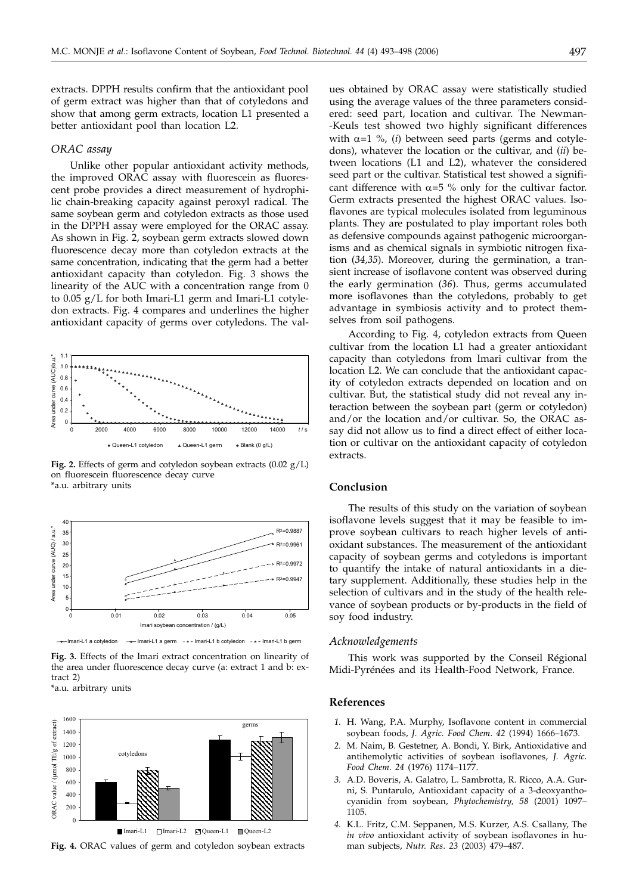extracts. DPPH results confirm that the antioxidant pool of germ extract was higher than that of cotyledons and show that among germ extracts, location L1 presented a better antioxidant pool than location L2.

#### *ORAC assay*

Unlike other popular antioxidant activity methods, the improved ORAC assay with fluorescein as fluorescent probe provides a direct measurement of hydrophilic chain-breaking capacity against peroxyl radical. The same soybean germ and cotyledon extracts as those used in the DPPH assay were employed for the ORAC assay. As shown in Fig. 2, soybean germ extracts slowed down fluorescence decay more than cotyledon extracts at the same concentration, indicating that the germ had a better antioxidant capacity than cotyledon. Fig. 3 shows the linearity of the AUC with a concentration range from 0 to 0.05 g/L for both Imari-L1 germ and Imari-L1 cotyledon extracts. Fig. 4 compares and underlines the higher antioxidant capacity of germs over cotyledons. The val-



**Fig. 2.** Effects of germ and cotyledon soybean extracts  $(0.02 \text{ g/L})$ on fluorescein fluorescence decay curve \*a.u. arbitrary units



Imari-L1 a cotyledon - - Imari-L1 a germ - + - Imari-L1 b cotyledon - + - Imari-L1 b germ

**Fig. 3.** Effects of the Imari extract concentration on linearity of the area under fluorescence decay curve (a: extract 1 and b: extract 2)

\*a.u. arbitrary units



**Fig. 4.** ORAC values of germ and cotyledon soybean extracts

ues obtained by ORAC assay were statistically studied using the average values of the three parameters considered: seed part, location and cultivar. The Newman- -Keuls test showed two highly significant differences with  $\alpha$ =1 %, (*i*) between seed parts (germs and cotyledons), whatever the location or the cultivar, and (*ii*) between locations (L1 and L2), whatever the considered seed part or the cultivar. Statistical test showed a significant difference with  $\alpha=5$  % only for the cultivar factor. Germ extracts presented the highest ORAC values. Isoflavones are typical molecules isolated from leguminous plants. They are postulated to play important roles both as defensive compounds against pathogenic microorganisms and as chemical signals in symbiotic nitrogen fixation (*34,35*). Moreover, during the germination, a transient increase of isoflavone content was observed during the early germination (*36*). Thus, germs accumulated more isoflavones than the cotyledons, probably to get advantage in symbiosis activity and to protect themselves from soil pathogens.

According to Fig. 4, cotyledon extracts from Queen cultivar from the location L1 had a greater antioxidant capacity than cotyledons from Imari cultivar from the location L2. We can conclude that the antioxidant capacity of cotyledon extracts depended on location and on cultivar. But, the statistical study did not reveal any interaction between the soybean part (germ or cotyledon) and/or the location and/or cultivar. So, the ORAC assay did not allow us to find a direct effect of either location or cultivar on the antioxidant capacity of cotyledon extracts.

## **Conclusion**

The results of this study on the variation of soybean isoflavone levels suggest that it may be feasible to improve soybean cultivars to reach higher levels of antioxidant substances. The measurement of the antioxidant capacity of soybean germs and cotyledons is important to quantify the intake of natural antioxidants in a dietary supplement. Additionally, these studies help in the selection of cultivars and in the study of the health relevance of soybean products or by-products in the field of soy food industry.

#### *Acknowledgements*

This work was supported by the Conseil Régional Midi-Pyrénées and its Health-Food Network, France.

#### **References**

- *1.* H. Wang, P.A. Murphy, Isoflavone content in commercial soybean foods, *J. Agric. Food Chem*. *42* (1994) 1666–1673.
- *2.* M. Naim, B. Gestetner, A. Bondi, Y. Birk, Antioxidative and antihemolytic activities of soybean isoflavones, *J. Agric. Food Chem*. *24* (1976) 1174–1177.
- *3.* A.D. Boveris, A. Galatro, L. Sambrotta, R. Ricco, A.A. Gurni, S. Puntarulo, Antioxidant capacity of a 3-deoxyanthocyanidin from soybean, *Phytochemistry, 58* (2001) 1097– 1105.
- *4.* K.L. Fritz, C.M. Seppanen, M.S. Kurzer, A.S. Csallany, The *in vivo* antioxidant activity of soybean isoflavones in human subjects, *Nutr. Res*. *23* (2003) 479–487.